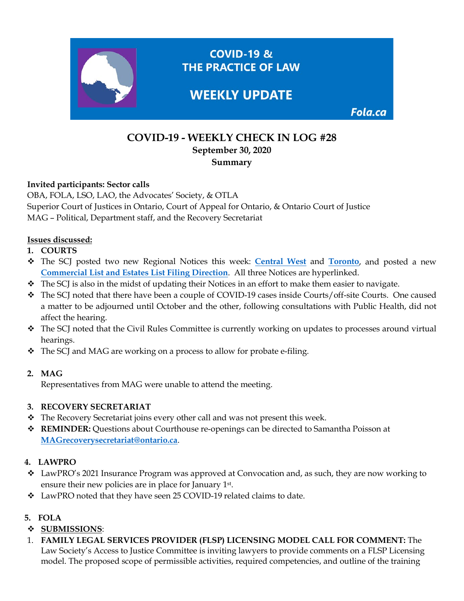

# **COVID-19 - WEEKLY CHECK IN LOG #28 September 30, 2020 Summary**

### **Invited participants: Sector calls**

OBA, FOLA, LSO, LAO, the Advocates' Society, & OTLA Superior Court of Justices in Ontario, Court of Appeal for Ontario, & Ontario Court of Justice MAG – Political, Department staff, and the Recovery Secretariat

# **Issues discussed:**

- **1. COURTS**
- The SCJ posted two new Regional Notices this week: **[Central West](https://www.ontariocourts.ca/scj/notices-and-orders-covid-19/notice-cw-september-25-2020/)** and **[Toronto](https://www.ontariocourts.ca/scj/notices-and-orders-covid-19/notice-to/)**, and posted a new **[Commercial List and Estates List Filing Direction](https://www.ontariocourts.ca/scj/notices-and-orders-covid-19/commercial-list-and-estates-list-filing-direction/)**. All three Notices are hyperlinked.
- The SCJ is also in the midst of updating their Notices in an effort to make them easier to navigate.
- The SCJ noted that there have been a couple of COVID-19 cases inside Courts/off-site Courts. One caused a matter to be adjourned until October and the other, following consultations with Public Health, did not affect the hearing.
- ◆ The SCJ noted that the Civil Rules Committee is currently working on updates to processes around virtual hearings.
- The SCJ and MAG are working on a process to allow for probate e-filing.

# **2. MAG**

Representatives from MAG were unable to attend the meeting.

# **3. RECOVERY SECRETARIAT**

- \* The Recovery Secretariat joins every other call and was not present this week.
- **REMINDER:** Questions about Courthouse re-openings can be directed to Samantha Poisson at **[MAGrecoverysecretariat@ontario.ca](mailto:MAGrecoverysecretariat@ontario.ca)**.

# **4. LAWPRO**

- $\div$  LawPRO's 2021 Insurance Program was approved at Convocation and, as such, they are now working to ensure their new policies are in place for January 1st.
- LawPRO noted that they have seen 25 COVID-19 related claims to date.

# **5. FOLA**

# **SUBMISSIONS**:

1. **FAMILY LEGAL SERVICES PROVIDER (FLSP) LICENSING MODEL CALL FOR COMMENT:** The Law Society's Access to Justice Committee is inviting lawyers to provide comments on a FLSP Licensing model. The proposed scope of permissible activities, required competencies, and outline of the training